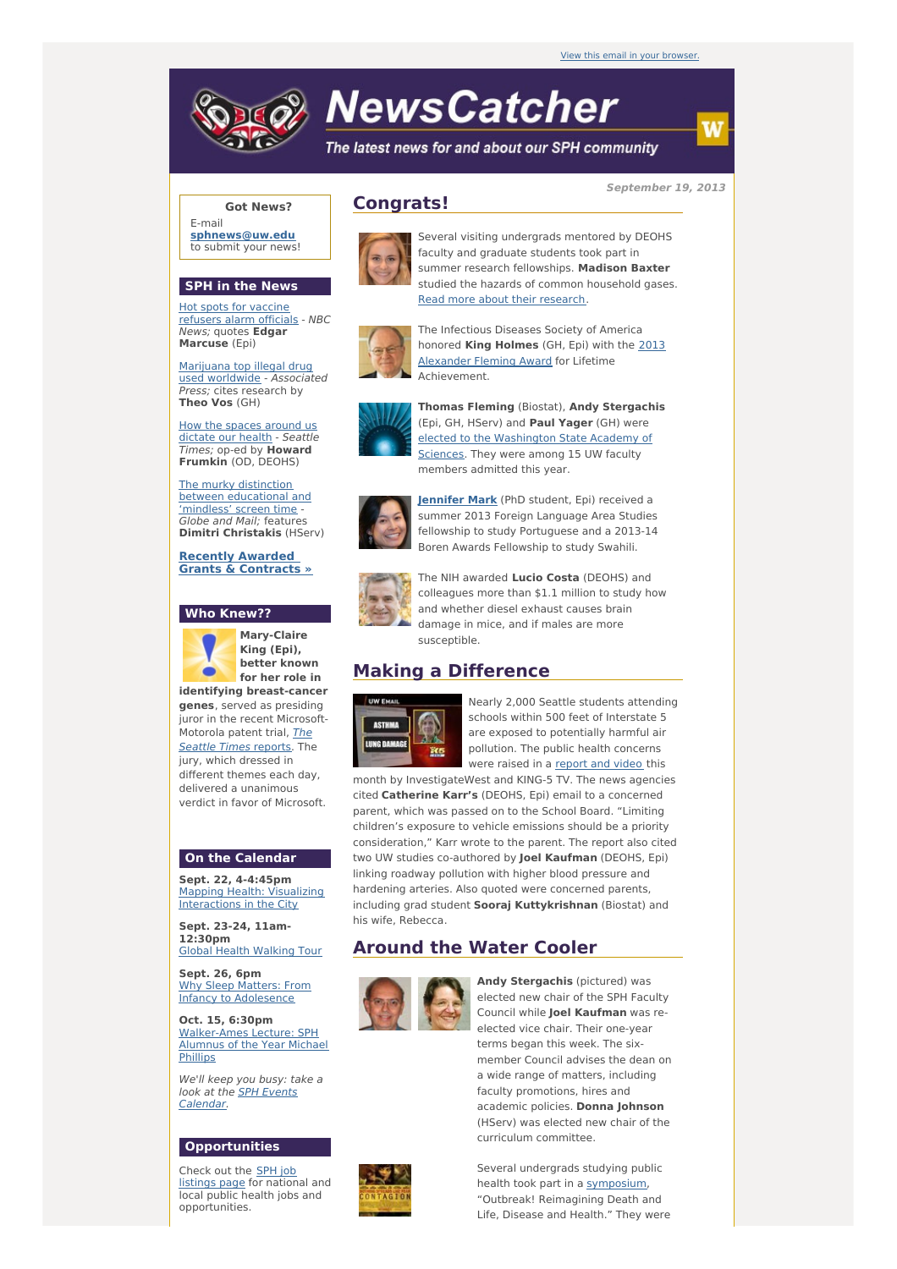

# **NewsCatcher**

The latest news for and about our SPH community

**September 19, 2013**

w

### **Got News?**

E-mail **[sphnews@uw.edu](mailto:sphnews@uw.edu)** to submit your news!

#### **SPH in the News**

Hot spots for vaccine [refusers](http://engage.washington.edu/site/R?i=Yic9CPvEVk7l3tu2TDdRrg) alarm officials - NBC News; quotes **Edgar Marcuse** (Epi)

Marijuana top illegal drug used [worldwide](http://engage.washington.edu/site/R?i=H8CqgvcUwv89OKszsfQm9Q) - Associated Press; cites research by **Theo Vos** (GH)

How the spaces [around](http://engage.washington.edu/site/R?i=s0C693T9rr9Jjj7avSZbZQ) us dictate our health - Seattle Times; op-ed by **Howard Frumkin** (OD, DEOHS)

The murky distinction between [educational](http://engage.washington.edu/site/R?i=vttTs_g43OJRcEa2Ofx7sw) and 'mindless' screen time - Globe and Mail; features **Dimitri Christakis** (HServ)

**Recently Awarded Grants & [Contracts](http://engage.washington.edu/site/R?i=MmuNQm9in8B5HIzk75KpEw) »**

#### **Who Knew??**



**Mary-Claire King (Epi), better known for her role in identifying breast-cancer**

**genes**, served as presiding juror in the recent Microsoft-[Motorola](http://engage.washington.edu/site/R?i=53yJuHeFyCC4KlNWn0INVQ) patent trial, The Seattle Times reports. The jury, which dressed in different themes each day, delivered a unanimous verdict in favor of Microsoft.

#### **On the Calendar**

**Sept. 22, 4-4:45pm** Mapping Health: Visualizing [Interactions](http://engage.washington.edu/site/R?i=OEUxmoJBaXIE1MXec3nObw) in the City

**Sept. 23-24, 11am-12:30pm** Global Health [Walking](http://engage.washington.edu/site/R?i=NwG1H1fV46hCBbqDLfY4iw) Tour

**Sept. 26, 6pm** Why Sleep Matters: From Infancy to [Adolesence](http://engage.washington.edu/site/R?i=-i5z369sA9qNa4eO_O_qSg)

**Oct. 15, 6:30pm** [Walker-Ames](http://engage.washington.edu/site/R?i=97oDeL13gzGjZ7o9Spvw-g) Lecture: SPH Alumnus of the Year Michael **Phillips** 

We'll keep you busy: take a look at the SPH Events [Calendar.](http://engage.washington.edu/site/R?i=pDBxUDqyG-t0As4RbLNQRg)

#### **Opportunities**

Check out the SPH job [listings](http://engage.washington.edu/site/R?i=wtwbuA7BNgTrK4Pj7lcqkA) page for national and local public health jobs and opportunities.



## **Congrats!**



Several visiting undergrads mentored by DEOHS faculty and graduate students took part in summer research fellowships. **Madison Baxter** studied the hazards of common household gases. Read more about their [research](http://engage.washington.edu/site/R?i=wAVT7KfE5YfkExnpT0XPbw).



The Infectious Diseases Society of America honored **King Holmes** (GH, Epi) with the 2013 [Alexander](http://engage.washington.edu/site/R?i=NzCDn-XGv4ABgVz0I1VGHg) Fleming Award for Lifetime Achievement.



**Thomas Fleming** (Biostat), **Andy Stergachis** (Epi, GH, HServ) and **Paul Yager** (GH) were elected to the [Washington](http://engage.washington.edu/site/R?i=_9laJ7qqfLZyeWyOA57zAA) State Academy of Sciences. They were among 15 UW faculty members admitted this year.



**[Jennifer](http://engage.washington.edu/site/R?i=kMVrIsdfLwX93gB9-cizVw) Mark** (PhD student, Epi) received a summer 2013 Foreign Language Area Studies fellowship to study Portuguese and a 2013-14 Boren Awards Fellowship to study Swahili.



The NIH awarded **Lucio Costa** (DEOHS) and colleagues more than \$1.1 million to study how and whether diesel exhaust causes brain damage in mice, and if males are more susceptible

# **Making a Difference**



Nearly 2,000 Seattle students attending schools within 500 feet of Interstate 5 are exposed to potentially harmful air pollution. The public health concerns were raised in a [report](http://engage.washington.edu/site/R?i=DFpTZEKWtIFE51OMeREj2Q) and video this

month by InvestigateWest and KING-5 TV. The news agencies cited **Catherine Karr's** (DEOHS, Epi) email to a concerned parent, which was passed on to the School Board. "Limiting children's exposure to vehicle emissions should be a priority consideration," Karr wrote to the parent. The report also cited two UW studies co-authored by **Joel Kaufman** (DEOHS, Epi) linking roadway pollution with higher blood pressure and hardening arteries. Also quoted were concerned parents, including grad student **Sooraj Kuttykrishnan** (Biostat) and his wife, Rebecca.

# **Around the Water Cooler**



**Andy Stergachis** (pictured) was elected new chair of the SPH Faculty Council while **Joel Kaufman** was reelected vice chair. Their one-year terms began this week. The sixmember Council advises the dean on a wide range of matters, including faculty promotions, hires and academic policies. **Donna Johnson** (HServ) was elected new chair of the curriculum committee.

Several undergrads studying public health took part in a [symposium,](http://engage.washington.edu/site/R?i=r8FjDTyK-j1PkptqPolXhA) "Outbreak! Reimagining Death and Life, Disease and Health." They were